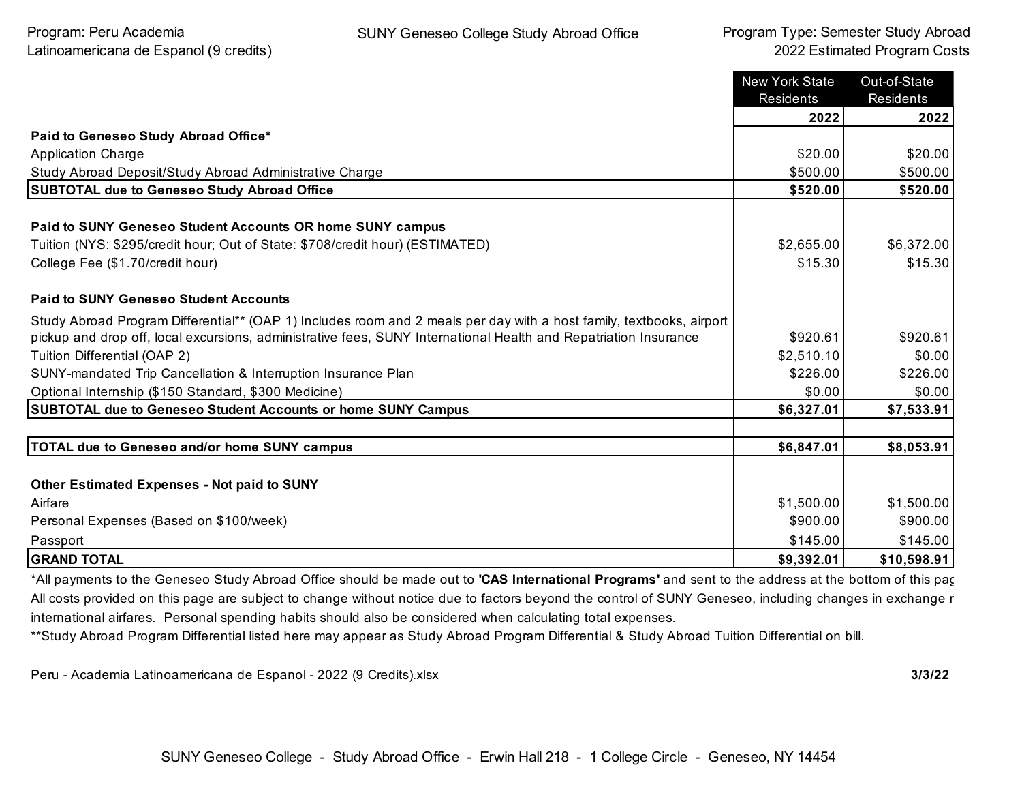|                                                                                                                      | <b>New York State</b><br>Residents | Out-of-State<br><b>Residents</b> |
|----------------------------------------------------------------------------------------------------------------------|------------------------------------|----------------------------------|
|                                                                                                                      | 2022                               | 2022                             |
| Paid to Geneseo Study Abroad Office*                                                                                 |                                    |                                  |
| <b>Application Charge</b>                                                                                            | \$20.00                            | \$20.00                          |
| Study Abroad Deposit/Study Abroad Administrative Charge                                                              | \$500.00                           | \$500.00                         |
| <b>SUBTOTAL due to Geneseo Study Abroad Office</b>                                                                   | \$520.00                           | \$520.00                         |
| Paid to SUNY Geneseo Student Accounts OR home SUNY campus                                                            |                                    |                                  |
| Tuition (NYS: \$295/credit hour; Out of State: \$708/credit hour) (ESTIMATED)                                        | \$2,655.00                         | \$6,372.00                       |
| College Fee (\$1.70/credit hour)                                                                                     | \$15.30                            | \$15.30                          |
| <b>Paid to SUNY Geneseo Student Accounts</b>                                                                         |                                    |                                  |
| Study Abroad Program Differential** (OAP 1) Includes room and 2 meals per day with a host family, textbooks, airport |                                    |                                  |
| pickup and drop off, local excursions, administrative fees, SUNY International Health and Repatriation Insurance     | \$920.61                           | \$920.61                         |
| Tuition Differential (OAP 2)                                                                                         | \$2,510.10                         | \$0.00                           |
| SUNY-mandated Trip Cancellation & Interruption Insurance Plan                                                        | \$226.00                           | \$226.00                         |
| Optional Internship (\$150 Standard, \$300 Medicine)                                                                 | \$0.00                             | \$0.00                           |
| SUBTOTAL due to Geneseo Student Accounts or home SUNY Campus                                                         | \$6,327.01                         | \$7,533.91                       |
| TOTAL due to Geneseo and/or home SUNY campus                                                                         | \$6,847.01                         | \$8,053.91                       |
|                                                                                                                      |                                    |                                  |
| <b>Other Estimated Expenses - Not paid to SUNY</b>                                                                   |                                    |                                  |
| Airfare                                                                                                              | \$1,500.00                         | \$1,500.00                       |
| Personal Expenses (Based on \$100/week)                                                                              | \$900.00                           | \$900.00                         |
| Passport                                                                                                             | \$145.00                           | \$145.00                         |
| <b>GRAND TOTAL</b>                                                                                                   | \$9,392.01                         | \$10,598.91                      |

\*All payments to the Geneseo Study Abroad Office should be made out to **'CAS International Programs'** and sent to the address at the bottom of this page. All costs provided on this page are subject to change without notice due to factors beyond the control of SUNY Geneseo, including changes in exchange r international airfares. Personal spending habits should also be considered when calculating total expenses.

\*\*Study Abroad Program Differential listed here may appear as Study Abroad Program Differential & Study Abroad Tuition Differential on bill.

Peru - Academia Latinoamericana de Espanol - 2022 (9 Credits).xlsx **3/3/22**